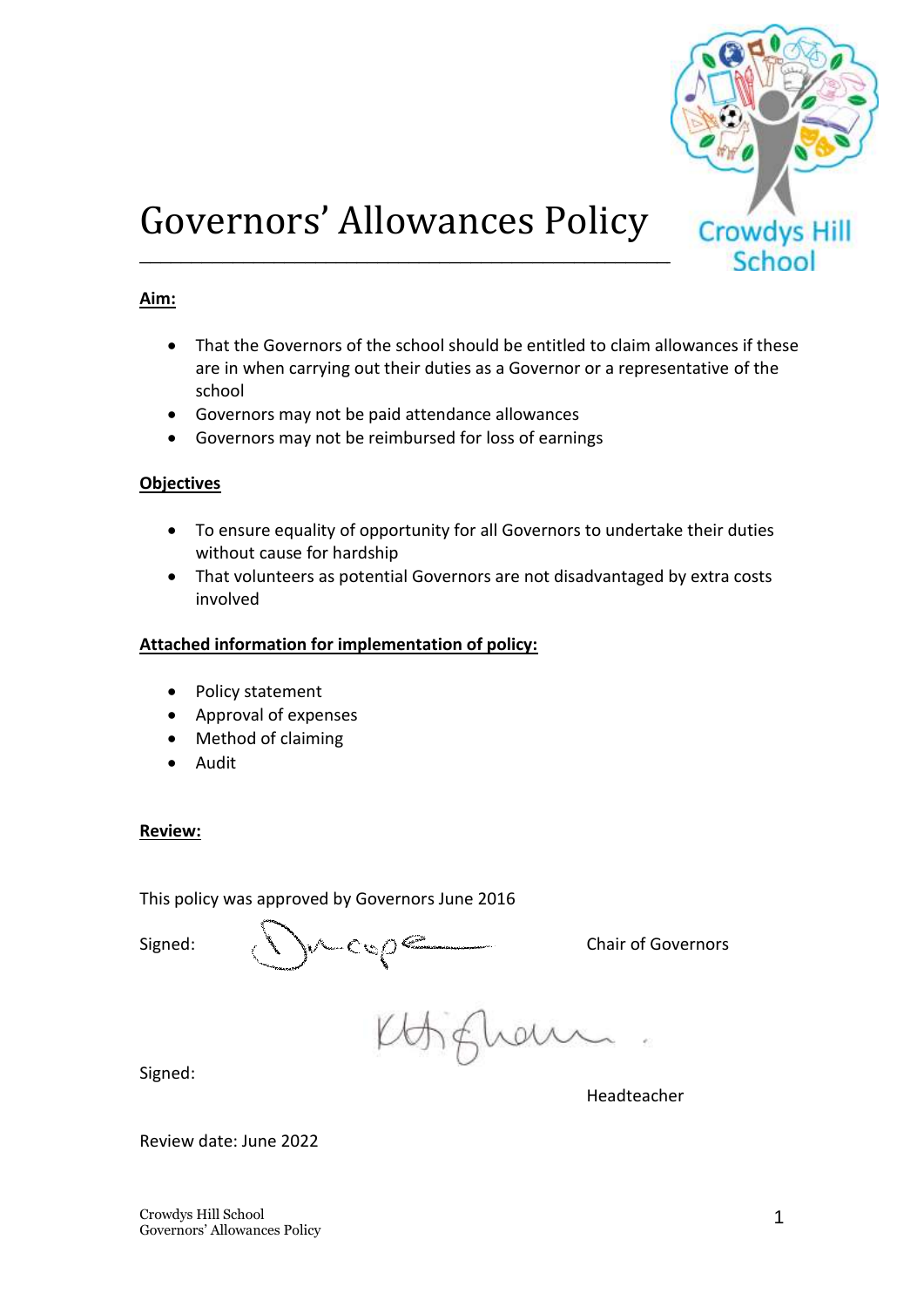

# Governors' Allowances Policy

## **Aim:**

- That the Governors of the school should be entitled to claim allowances if these are in when carrying out their duties as a Governor or a representative of the school
- Governors may not be paid attendance allowances
- Governors may not be reimbursed for loss of earnings

## **Objectives**

- To ensure equality of opportunity for all Governors to undertake their duties without cause for hardship
- That volunteers as potential Governors are not disadvantaged by extra costs involved

#### **Attached information for implementation of policy:**

- Policy statement
- Approval of expenses
- Method of claiming
- Audit

## **Review:**

This policy was approved by Governors June 2016

Signed:  $\setminus \setminus \cup$  Cu<sub>2</sub> $\circ$  Comparison Chair of Governors

gham

Signed:

Headteacher

Review date: June 2022

Crowdys Hill School Governors' Allowances Policy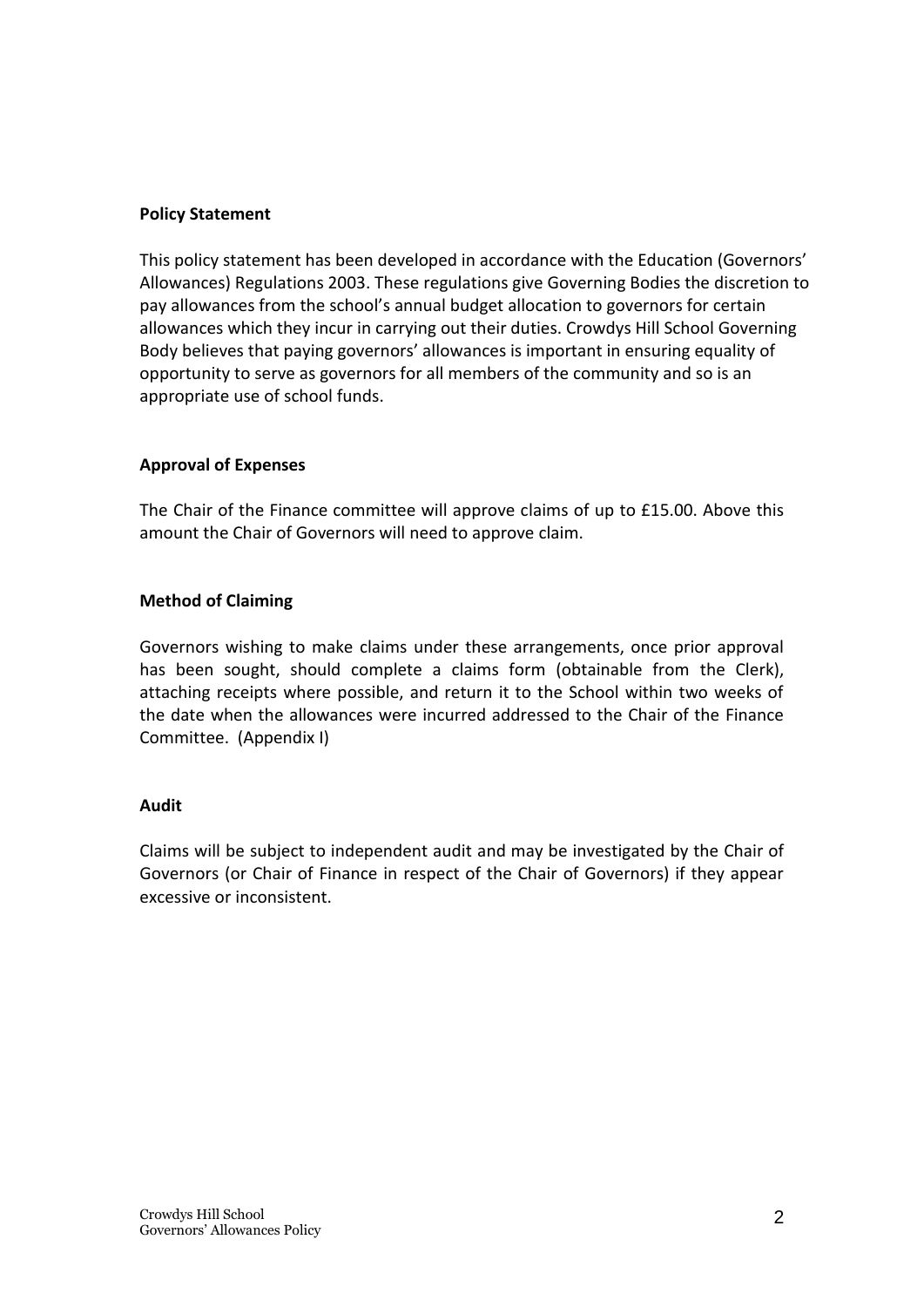# **Policy Statement**

This policy statement has been developed in accordance with the Education (Governors' Allowances) Regulations 2003. These regulations give Governing Bodies the discretion to pay allowances from the school's annual budget allocation to governors for certain allowances which they incur in carrying out their duties. Crowdys Hill School Governing Body believes that paying governors' allowances is important in ensuring equality of opportunity to serve as governors for all members of the community and so is an appropriate use of school funds.

# **Approval of Expenses**

The Chair of the Finance committee will approve claims of up to £15.00. Above this amount the Chair of Governors will need to approve claim.

# **Method of Claiming**

Governors wishing to make claims under these arrangements, once prior approval has been sought, should complete a claims form (obtainable from the Clerk), attaching receipts where possible, and return it to the School within two weeks of the date when the allowances were incurred addressed to the Chair of the Finance Committee. (Appendix I)

## **Audit**

Claims will be subject to independent audit and may be investigated by the Chair of Governors (or Chair of Finance in respect of the Chair of Governors) if they appear excessive or inconsistent.